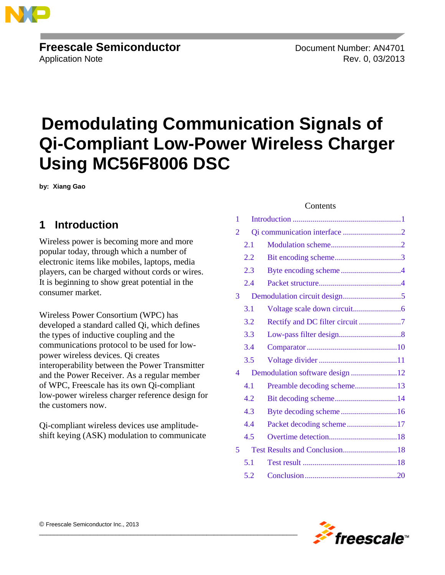

# **Freescale Semiconductor** Document Number: AN4701

Application Note Rev. 0, 03/2013

# **Demodulating Communication Signals of Qi-Compliant Low-Power Wireless Charger Using MC56F8006 DSC**

**by: Xiang Gao**

# <span id="page-0-0"></span>**1 Introduction**

Wireless power is becoming more and more popular today, through which a number of electronic items like mobiles, laptops, media players, can be charged without cords or wires. It is beginning to show great potential in the consumer market.

Wireless Power Consortium (WPC) has developed a standard called Qi, which defines the types of inductive coupling and the communications protocol to be used for lowpower wireless devices. Qi creates interoperability between the Power Transmitter and the Power Receiver. As a regular member of WPC, Freescale has its own Qi-compliant low-power wireless charger reference design for the customers now.

Qi-compliant wireless devices use amplitudeshift keying (ASK) modulation to communicate

 $\overline{\phantom{a}}$  , and the set of the set of the set of the set of the set of the set of the set of the set of the set of the set of the set of the set of the set of the set of the set of the set of the set of the set of the s

#### **Contents**

| 1              |     |                                 |  |
|----------------|-----|---------------------------------|--|
| $\overline{2}$ |     |                                 |  |
|                | 2.1 |                                 |  |
|                | 2.2 |                                 |  |
|                | 2.3 |                                 |  |
|                | 2.4 |                                 |  |
| 3              |     |                                 |  |
|                | 3.1 |                                 |  |
|                | 3.2 | Rectify and DC filter circuit 7 |  |
|                | 3.3 |                                 |  |
|                | 3.4 |                                 |  |
|                | 3.5 |                                 |  |
| 4              |     | Demodulation software design 12 |  |
|                | 4.1 | Preamble decoding scheme13      |  |
|                | 4.2 |                                 |  |
|                | 4.3 |                                 |  |
|                | 4.4 | Packet decoding scheme17        |  |
|                | 4.5 |                                 |  |
| 5              |     |                                 |  |
|                | 5.1 |                                 |  |
|                | 5.2 |                                 |  |

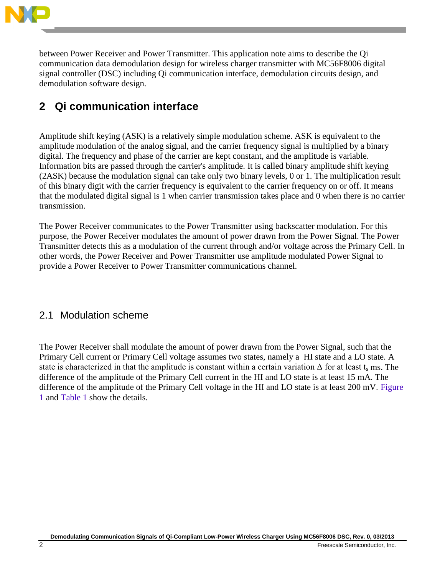

between Power Receiver and Power Transmitter. This application note aims to describe the Qi communication data demodulation design for wireless charger transmitter with MC56F8006 digital signal controller (DSC) including Qi communication interface, demodulation circuits design, and demodulation software design.

# <span id="page-1-0"></span>**2 Qi communication interface**

Amplitude shift keying (ASK) is a relatively simple modulation scheme. ASK is equivalent to the amplitude modulation of the analog signal, and the carrier frequency signal is multiplied by a binary digital. The frequency and phase of the carrier are kept constant, and the amplitude is variable. Information bits are passed through the carrier's amplitude. It is called binary amplitude shift keying (2ASK) because the modulation signal can take only two binary levels, 0 or 1. The multiplication result of this binary digit with the carrier frequency is equivalent to the carrier frequency on or off. It means that the modulated digital signal is 1 when carrier transmission takes place and 0 when there is no carrier transmission.

The Power Receiver communicates to the Power Transmitter using backscatter modulation. For this purpose, the Power Receiver modulates the amount of power drawn from the Power Signal. The Power Transmitter detects this as a modulation of the current through and/or voltage across the Primary Cell. In other words, the Power Receiver and Power Transmitter use amplitude modulated Power Signal to provide a Power Receiver to Power Transmitter communications channel.

## <span id="page-1-1"></span>2.1 Modulation scheme

The Power Receiver shall modulate the amount of power drawn from the Power Signal, such that the Primary Cell current or Primary Cell voltage assumes two states, namely a HI state and a LO state. A state is characterized in that the amplitude is constant within a certain variation  $\Delta$  for at least t<sub>s</sub> ms. The difference of the amplitude of the Primary Cell current in the HI and LO state is at least 15 mA. The difference of the amplitude of the Primary Cell voltage in the HI and LO state is at least 200 mV. [Figure](#page-2-1)  [1](#page-2-1) and [Table 1](#page-2-2) show the details.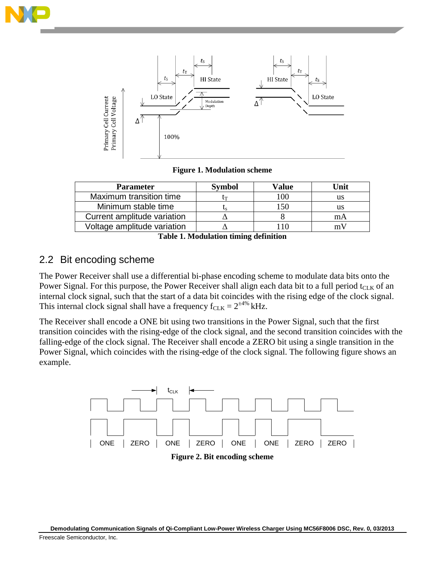



**Figure 1. Modulation scheme**

<span id="page-2-1"></span>

| <b>Parameter</b>            | Svmbol | Value | Unit |
|-----------------------------|--------|-------|------|
| Maximum transition time     |        | 100   | us   |
| Minimum stable time         |        | -50   | us   |
| Current amplitude variation |        |       | mА   |
| Voltage amplitude variation |        |       |      |

**Table 1. Modulation timing definition**

# <span id="page-2-2"></span><span id="page-2-0"></span>2.2 Bit encoding scheme

The Power Receiver shall use a differential bi-phase encoding scheme to modulate data bits onto the Power Signal. For this purpose, the Power Receiver shall align each data bit to a full period  $t_{\text{CLK}}$  of an internal clock signal, such that the start of a data bit coincides with the rising edge of the clock signal. This internal clock signal shall have a frequency  $f_{CLK} = 2^{\pm 4\%}$  kHz.

The Receiver shall encode a ONE bit using two transitions in the Power Signal, such that the first transition coincides with the rising-edge of the clock signal, and the second transition coincides with the falling-edge of the clock signal. The Receiver shall encode a ZERO bit using a single transition in the Power Signal, which coincides with the rising-edge of the clock signal. The following figure shows an example.

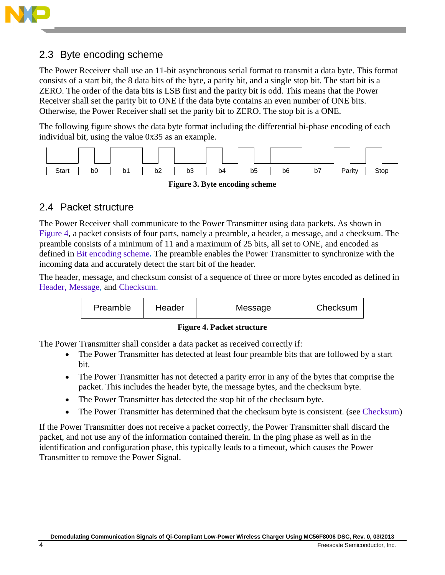

# <span id="page-3-0"></span>2.3 Byte encoding scheme

The Power Receiver shall use an 11-bit asynchronous serial format to transmit a data byte. This format consists of a start bit, the 8 data bits of the byte, a parity bit, and a single stop bit. The start bit is a ZERO. The order of the data bits is LSB first and the parity bit is odd. This means that the Power Receiver shall set the parity bit to ONE if the data byte contains an even number of ONE bits. Otherwise, the Power Receiver shall set the parity bit to ZERO. The stop bit is a ONE.

The following figure shows the data byte format including the differential bi-phase encoding of each individual bit, using the value 0x35 as an example.



# <span id="page-3-1"></span>2.4 Packet structure

The Power Receiver shall communicate to the Power Transmitter using data packets. As shown in [Figure 4,](#page-3-2) a packet consists of four parts, namely a preamble, a header, a message, and a checksum. The preamble consists of a minimum of 11 and a maximum of 25 bits, all set to ONE, and encoded as defined in [Bit encoding scheme](#page-2-0)**.** The preamble enables the Power Transmitter to synchronize with the incoming data and accurately detect the start bit of the header.

The header, message, and checksum consist of a sequence of three or more bytes encoded as defined in [Header](#page-4-1), [Message](#page-4-2), and [Checksum](#page-4-3).



#### **Figure 4. Packet structure**

<span id="page-3-2"></span>The Power Transmitter shall consider a data packet as received correctly if:

- The Power Transmitter has detected at least four preamble bits that are followed by a start bit.
- The Power Transmitter has not detected a parity error in any of the bytes that comprise the packet. This includes the header byte, the message bytes, and the checksum byte.
- The Power Transmitter has detected the stop bit of the checksum byte.
- The Power Transmitter has determined that the checksum byte is consistent. (see [Checksum\)](#page-4-3)

If the Power Transmitter does not receive a packet correctly, the Power Transmitter shall discard the packet, and not use any of the information contained therein. In the ping phase as well as in the identification and configuration phase, this typically leads to a timeout, which causes the Power Transmitter to remove the Power Signal.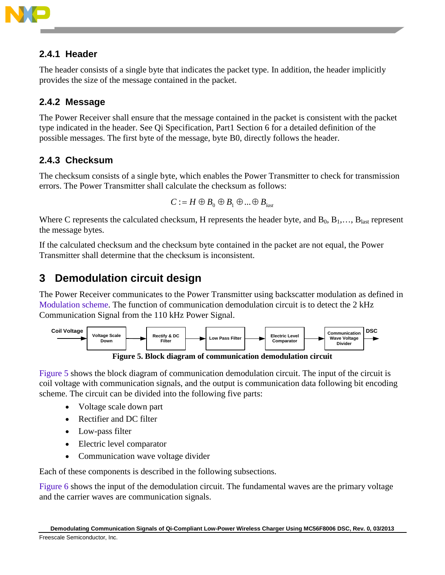

# <span id="page-4-1"></span>**2.4.1 Header**

The header consists of a single byte that indicates the packet type. In addition, the header implicitly provides the size of the message contained in the packet.

# <span id="page-4-2"></span>**2.4.2 Message**

The Power Receiver shall ensure that the message contained in the packet is consistent with the packet type indicated in the header. See Qi Specification, Part1 Section 6 for a detailed definition of the possible messages. The first byte of the message, byte B0, directly follows the header.

# <span id="page-4-3"></span>**2.4.3 Checksum**

The checksum consists of a single byte, which enables the Power Transmitter to check for transmission errors. The Power Transmitter shall calculate the checksum as follows:

$$
C := H \oplus B_0 \oplus B_1 \oplus \dots \oplus B_{last}
$$

Where C represents the calculated checksum, H represents the header byte, and  $B_0, B_1, \ldots, B_{\text{last}}$  represent the message bytes.

If the calculated checksum and the checksum byte contained in the packet are not equal, the Power Transmitter shall determine that the checksum is inconsistent.

# <span id="page-4-0"></span>**3 Demodulation circuit design**

The Power Receiver communicates to the Power Transmitter using backscatter modulation as defined in [Modulation scheme.](#page-1-1) The function of communication demodulation circuit is to detect the 2 kHz Communication Signal from the 110 kHz Power Signal.



**Figure 5. Block diagram of communication demodulation circuit**

<span id="page-4-4"></span>[Figure 5](#page-4-4) shows the block diagram of communication demodulation circuit. The input of the circuit is coil voltage with communication signals, and the output is communication data following bit encoding scheme. The circuit can be divided into the following five parts:

- Voltage scale down part
- Rectifier and DC filter
- Low-pass filter
- Electric level comparator
- Communication wave voltage divider

Each of these components is described in the following subsections.

[Figure 6](#page-5-1) shows the input of the demodulation circuit. The fundamental waves are the primary voltage and the carrier waves are communication signals.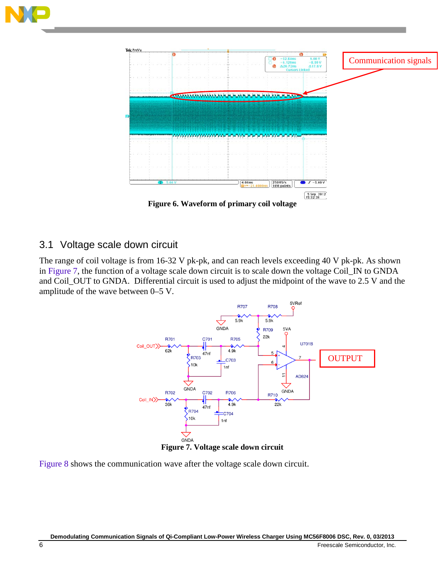



**Figure 6. Waveform of primary coil voltage**

## <span id="page-5-1"></span><span id="page-5-0"></span>3.1 Voltage scale down circuit

The range of coil voltage is from 16-32 V pk-pk, and can reach levels exceeding 40 V pk-pk. As shown in [Figure 7,](#page-5-2) the function of a voltage scale down circuit is to scale down the voltage Coil\_IN to GNDA and Coil\_OUT to GNDA. Differential circuit is used to adjust the midpoint of the wave to 2.5 V and the amplitude of the wave between 0–5 V.



<span id="page-5-2"></span>[Figure 8](#page-6-1) shows the communication wave after the voltage scale down circuit.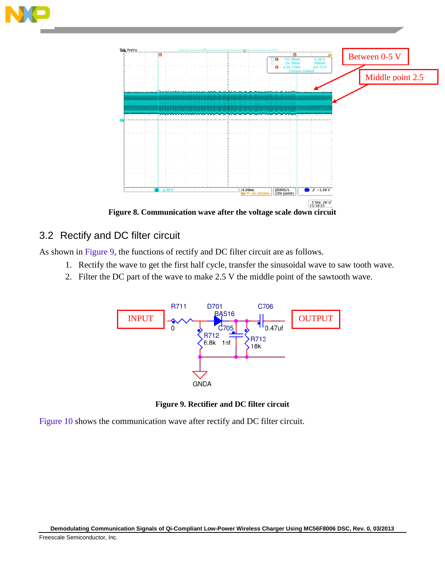



**Figure 8. Communication wave after the voltage scale down circuit**

## <span id="page-6-1"></span><span id="page-6-0"></span>3.2 Rectify and DC filter circuit

As shown in [Figure 9,](#page-6-2) the functions of rectify and DC filter circuit are as follows.

- 1. Rectify the wave to get the first half cycle, transfer the sinusoidal wave to saw tooth wave.
- 2. Filter the DC part of the wave to make 2.5 V the middle point of the sawtooth wave.



**Figure 9. Rectifier and DC filter circuit**

<span id="page-6-2"></span>[Figure 10](#page-7-1) shows the communication wave after rectify and DC filter circuit.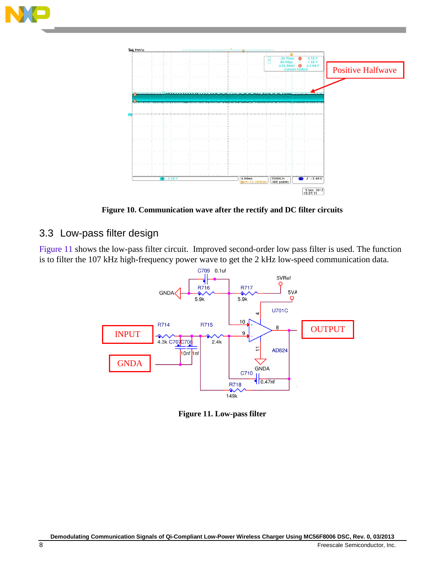



**Figure 10. Communication wave after the rectify and DC filter circuits**

# <span id="page-7-1"></span><span id="page-7-0"></span>3.3 Low-pass filter design

[Figure 11](#page-7-2) shows the low-pass filter circuit. Improved second-order low pass filter is used. The function is to filter the 107 kHz high-frequency power wave to get the 2 kHz low-speed communication data.



<span id="page-7-2"></span>**Figure 11. Low-pass filter**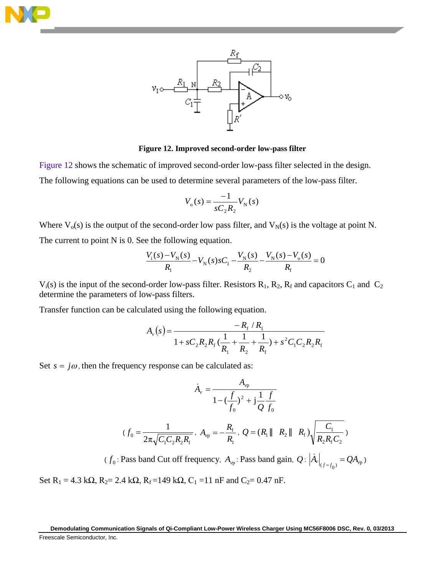



#### **Figure 12. Improved second-order low-pass filter**

<span id="page-8-0"></span>[Figure 12](#page-8-0) shows the schematic of improved second-order low-pass filter selected in the design. The following equations can be used to determine several parameters of the low-pass filter.

$$
V_{o}(s) = \frac{-1}{sC_{2}R_{2}}V_{N}(s)
$$

Where  $V_0(s)$  is the output of the second-order low pass filter, and  $V_N(s)$  is the voltage at point N. The current to point N is 0. See the following equation.

$$
\frac{V_{\rm i}(s) - V_{\rm N}(s)}{R_{\rm i}} - V_{\rm N}(s)sC_{\rm i} - \frac{V_{\rm N}(s)}{R_{\rm 2}} - \frac{V_{\rm N}(s) - V_{\rm o}(s)}{R_{\rm f}} = 0
$$

 $V_i(s)$  is the input of the second-order low-pass filter. Resistors  $R_1$ ,  $R_2$ ,  $R_f$  and capacitors  $C_1$  and  $C_2$ determine the parameters of low-pass filters.

Transfer function can be calculated using the following equation.

$$
A_{\nu}(s) = \frac{-R_{\rm f} / R_{\rm l}}{1 + sC_{\rm 2}R_{\rm 2}R_{\rm f}(\frac{1}{R_{\rm l}} + \frac{1}{R_{\rm 2}} + \frac{1}{R_{\rm f}}) + s^2C_{\rm l}C_{\rm 2}R_{\rm 2}R_{\rm f}}
$$

Set  $s = j\omega$ , then the frequency response can be calculated as:

$$
\dot{A}_{\nu} = \frac{A_{\nu p}}{1 - (\frac{f}{f_0})^2 + j\frac{1}{Q}\frac{f}{f_0}}
$$
\n
$$
(f_0 = \frac{1}{2\pi\sqrt{C_1C_2R_2R_f}}, A_{\nu p} = -\frac{R_f}{R_1}, Q = (R_1 \| R_2 \| R_f)\sqrt{\frac{C_1}{R_2R_fC_2}})
$$

 $(f_0: \text{Pass band Cut off frequency}, A_{vp}: \text{Pass band gain}, Q: |\dot{A}_v|_{(f=f_0)} = QA_{vp}$ 

Set R<sub>1</sub> = 4.3 k $\Omega$ , R<sub>2</sub>= 2.4 k $\Omega$ , R<sub>f</sub> = 149 k $\Omega$ , C<sub>1</sub> = 11 nF and C<sub>2</sub>= 0.47 nF.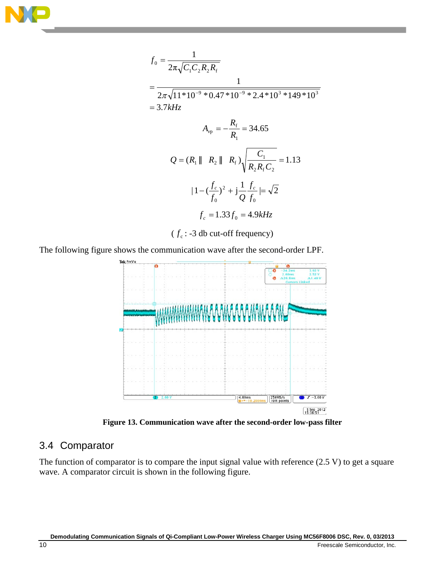

$$
f_0 = \frac{1}{2\pi\sqrt{C_1C_2R_2R_f}}
$$
  
= 
$$
\frac{1}{2\pi\sqrt{11*10^{-9}*0.47*10^{-9}*2.4*10^{3}*149*10^{3}}}
$$
  
= 3.7kHz  

$$
A_{vp} = -\frac{R_f}{R_1} = 34.65
$$

$$
Q = (R_1 || R_2 || R_f) \sqrt{\frac{C_1}{R_2R_fC_2}} = 1.13
$$

$$
|1 - (\frac{f_c}{f_0})^2 + j\frac{1}{Q}\frac{f_c}{f_0}| = \sqrt{2}
$$

$$
f_c = 1.33f_0 = 4.9kHz
$$

( $f_c$ : -3 db cut-off frequency)

The following figure shows the communication wave after the second-order LPF.



**Figure 13. Communication wave after the second-order low-pass filter**

## <span id="page-9-0"></span>3.4 Comparator

The function of comparator is to compare the input signal value with reference (2.5 V) to get a square wave. A comparator circuit is shown in the following figure.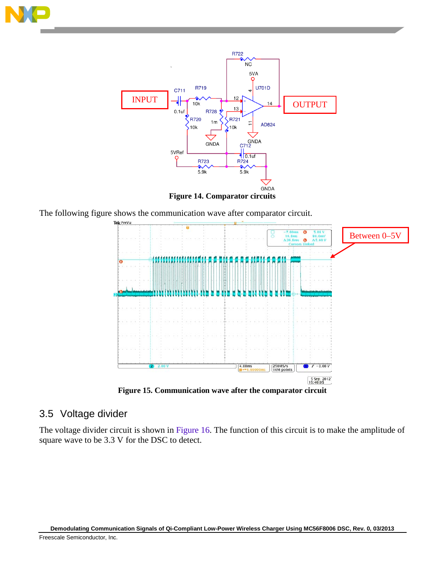



**Figure 14. Comparator circuits**

The following figure shows the communication wave after comparator circuit.



**Figure 15. Communication wave after the comparator circuit**

### <span id="page-10-0"></span>3.5 Voltage divider

The voltage divider circuit is shown in [Figure 16.](#page-11-1) The function of this circuit is to make the amplitude of square wave to be 3.3 V for the DSC to detect.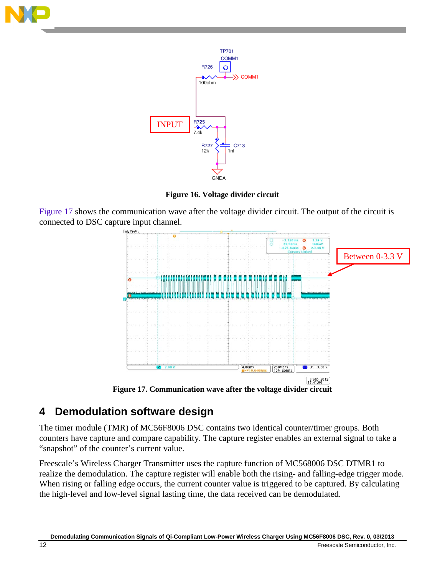



**Figure 16. Voltage divider circuit**

<span id="page-11-1"></span>[Figure 17](#page-11-2) shows the communication wave after the voltage divider circuit. The output of the circuit is connected to DSC capture input channel.



**Figure 17. Communication wave after the voltage divider circuit**

# <span id="page-11-2"></span><span id="page-11-0"></span>**4 Demodulation software design**

The timer module (TMR) of MC56F8006 DSC contains two identical counter/timer groups. Both counters have capture and compare capability. The capture register enables an external signal to take a "snapshot" of the counter's current value.

Freescale's Wireless Charger Transmitter uses the capture function of MC568006 DSC DTMR1 to realize the demodulation. The capture register will enable both the rising- and falling-edge trigger mode. When rising or falling edge occurs, the current counter value is triggered to be captured. By calculating the high-level and low-level signal lasting time, the data received can be demodulated.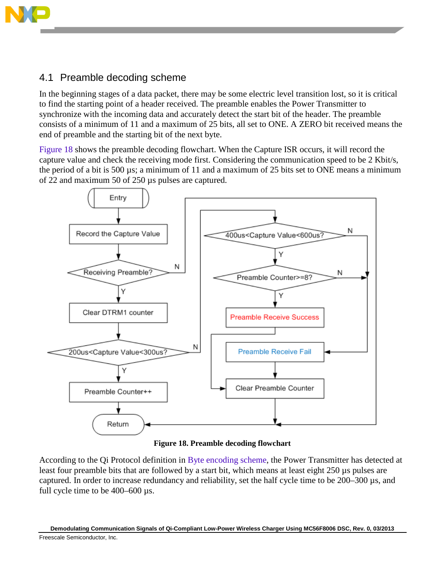

# <span id="page-12-0"></span>4.1 Preamble decoding scheme

In the beginning stages of a data packet, there may be some electric level transition lost, so it is critical to find the starting point of a header received. The preamble enables the Power Transmitter to synchronize with the incoming data and accurately detect the start bit of the header. The preamble consists of a minimum of 11 and a maximum of 25 bits, all set to ONE. A ZERO bit received means the end of preamble and the starting bit of the next byte.

[Figure 18](#page-12-1) shows the preamble decoding flowchart. When the Capture ISR occurs, it will record the capture value and check the receiving mode first. Considering the communication speed to be 2 Kbit/s, the period of a bit is 500 µs; a minimum of 11 and a maximum of 25 bits set to ONE means a minimum of 22 and maximum 50 of 250 µs pulses are captured.





<span id="page-12-1"></span>According to the Qi Protocol definition in [Byte encoding scheme,](#page-3-0) the Power Transmitter has detected at least four preamble bits that are followed by a start bit, which means at least eight 250 µs pulses are captured. In order to increase redundancy and reliability, set the half cycle time to be 200–300 µs, and full cycle time to be 400–600 µs.

**Demodulating Communication Signals of Qi-Compliant Low-Power Wireless Charger Using MC56F8006 DSC, Rev. 0, 03/2013** Freescale Semiconductor, Inc.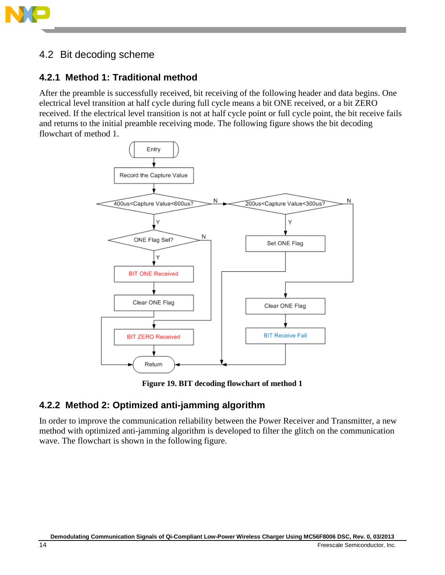

# <span id="page-13-0"></span>4.2 Bit decoding scheme

## **4.2.1 Method 1: Traditional method**

After the preamble is successfully received, bit receiving of the following header and data begins. One electrical level transition at half cycle during full cycle means a bit ONE received, or a bit ZERO received. If the electrical level transition is not at half cycle point or full cycle point, the bit receive fails and returns to the initial preamble receiving mode. The following figure shows the bit decoding flowchart of method 1.



**Figure 19. BIT decoding flowchart of method 1**

## **4.2.2 Method 2: Optimized anti-jamming algorithm**

In order to improve the communication reliability between the Power Receiver and Transmitter, a new method with optimized anti-jamming algorithm is developed to filter the glitch on the communication wave. The flowchart is shown in the following figure.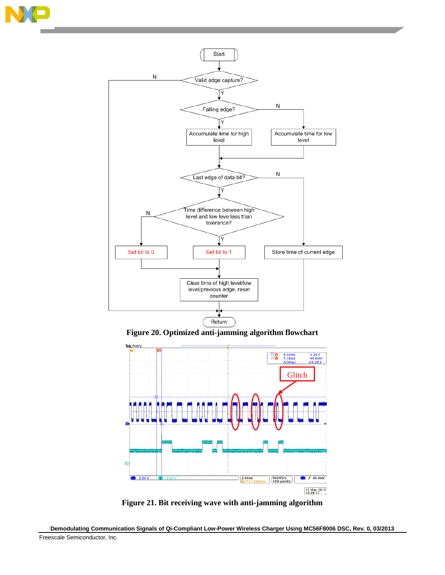







**Figure 21. Bit receiving wave with anti-jamming algorithm** 

<span id="page-14-0"></span>**Demodulating Communication Signals of Qi-Compliant Low-Power Wireless Charger Using MC56F8006 DSC, Rev. 0, 03/2013** Freescale Semiconductor, Inc.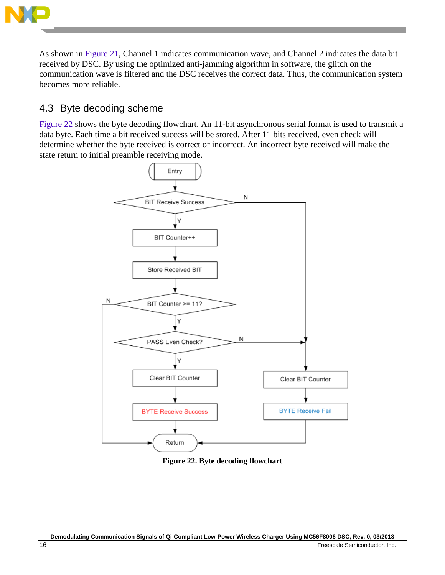

As shown in [Figure 21,](#page-14-0) Channel 1 indicates communication wave, and Channel 2 indicates the data bit received by DSC. By using the optimized anti-jamming algorithm in software, the glitch on the communication wave is filtered and the DSC receives the correct data. Thus, the communication system becomes more reliable.

# <span id="page-15-0"></span>4.3 Byte decoding scheme

[Figure 22](#page-15-1) shows the byte decoding flowchart. An 11-bit asynchronous serial format is used to transmit a data byte. Each time a bit received success will be stored. After 11 bits received, even check will determine whether the byte received is correct or incorrect. An incorrect byte received will make the state return to initial preamble receiving mode.



<span id="page-15-1"></span>**Figure 22. Byte decoding flowchart**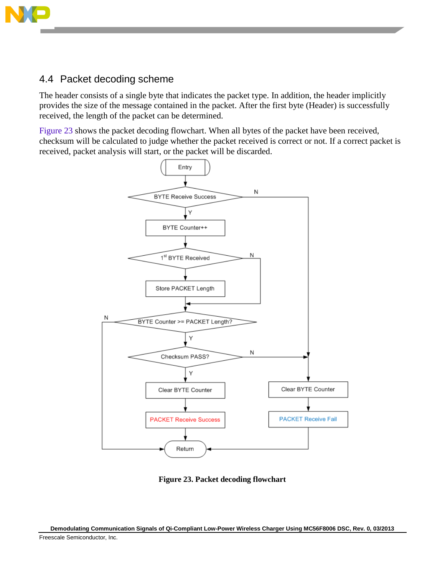

## <span id="page-16-0"></span>4.4 Packet decoding scheme

The header consists of a single byte that indicates the packet type. In addition, the header implicitly provides the size of the message contained in the packet. After the first byte (Header) is successfully received, the length of the packet can be determined.

[Figure 23](#page-16-1) shows the packet decoding flowchart. When all bytes of the packet have been received, checksum will be calculated to judge whether the packet received is correct or not. If a correct packet is received, packet analysis will start, or the packet will be discarded.



**Figure 23. Packet decoding flowchart**

<span id="page-16-1"></span>**Demodulating Communication Signals of Qi-Compliant Low-Power Wireless Charger Using MC56F8006 DSC, Rev. 0, 03/2013** Freescale Semiconductor, Inc.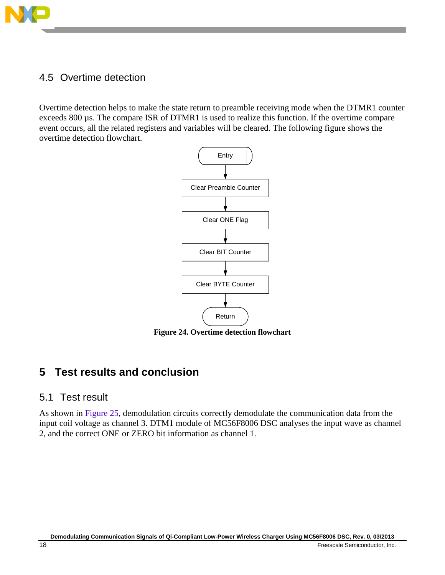

# <span id="page-17-0"></span>4.5 Overtime detection

Overtime detection helps to make the state return to preamble receiving mode when the DTMR1 counter exceeds 800 µs. The compare ISR of DTMR1 is used to realize this function. If the overtime compare event occurs, all the related registers and variables will be cleared. The following figure shows the overtime detection flowchart.



**Figure 24. Overtime detection flowchart**

# <span id="page-17-1"></span>**5 Test results and conclusion**

### <span id="page-17-2"></span>5.1 Test result

As shown in [Figure 25,](#page-18-0) demodulation circuits correctly demodulate the communication data from the input coil voltage as channel 3. DTM1 module of MC56F8006 DSC analyses the input wave as channel 2, and the correct ONE or ZERO bit information as channel 1.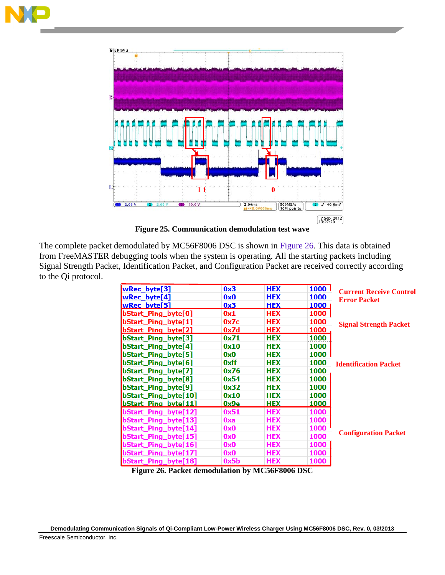



**Figure 25. Communication demodulation test wave**

<span id="page-18-0"></span>The complete packet demodulated by MC56F8006 DSC is shown in [Figure 26.](#page-18-1) This data is obtained from FreeMASTER debugging tools when the system is operating. All the starting packets including Signal Strength Packet, Identification Packet, and Configuration Packet are received correctly according to the Qi protocol.

|                             |      |            | 1000 <sub>1</sub> |                                |  |
|-----------------------------|------|------------|-------------------|--------------------------------|--|
| wRec_byte[3]                | 0x3  | <b>HEX</b> |                   | <b>Current Receive Control</b> |  |
| wRec_byte[4]                | 0x0  | <b>HEX</b> | 1000              | <b>Error Packet</b>            |  |
| wRec bvte[5]                | 0x3  | <b>HEX</b> | 1000              |                                |  |
| bStart_Ping_byte[0]         | 0x1  | <b>HEX</b> | 1000              |                                |  |
| bStart_Ping_byte[1]         | 0x7c | <b>HEX</b> | 1000              | <b>Signal Strength Packet</b>  |  |
| bStart Ping byte[2]         | 0x7d | <b>HEX</b> | 1000              |                                |  |
| bStart_Ping_byte[3]         | 0x71 | <b>HEX</b> | 1000              |                                |  |
| bStart_Ping_byte[4]         | 0x10 | <b>HEX</b> | 1000              | <b>Identification Packet</b>   |  |
| bStart_Ping_byte[5]         | 0x0  | <b>HEX</b> | 1000              |                                |  |
| bStart_Ping_byte[6]         | 0xff | <b>HEX</b> | 1000              |                                |  |
| bStart_Ping_byte[7]         | 0x76 | <b>HEX</b> | 1000              |                                |  |
| bStart_Ping_byte[8]         | 0x54 | <b>HEX</b> | 1000              |                                |  |
| bStart_Ping_byte[9]         | 0x32 | <b>HEX</b> | 1000              |                                |  |
| bStart_Ping_byte[10]        | 0x10 | <b>HEX</b> | 1000              |                                |  |
| <b>bStart Ping byte[11]</b> | 0x9e | <b>HEX</b> | 1000              |                                |  |
| bStart_Ping_byte[12]        | 0x51 | <b>HEX</b> | 1000              | <b>Configuration Packet</b>    |  |
| bStart_Ping_byte[13]        | 0xa  | <b>HEX</b> | 1000              |                                |  |
| bStart Ping byte[14]        | 0x0  | <b>HEX</b> | 1000              |                                |  |
| bStart Ping byte[15]        | 0x0  | <b>HEX</b> | 1000              |                                |  |
| bStart_Ping_byte[16]        | 0x0  | <b>HEX</b> | 1000              |                                |  |
| bStart Ping byte[17]        | 0x0  | <b>HEX</b> | 1000              |                                |  |
| bStart_Ping_byte[18]        | 0x5b | <b>HEX</b> | 1000              |                                |  |

<span id="page-18-1"></span>**Figure 26. Packet demodulation by MC56F8006 DSC**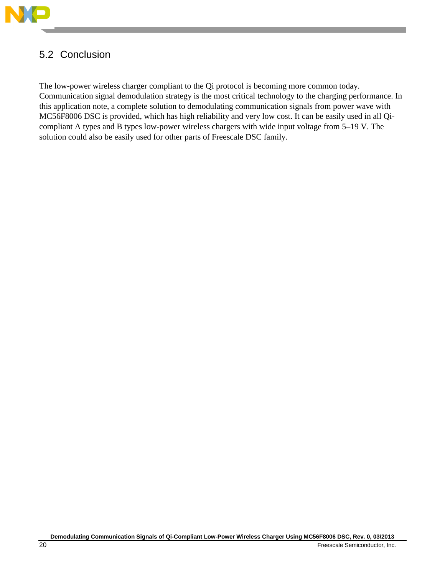

# <span id="page-19-0"></span>5.2 Conclusion

The low-power wireless charger compliant to the Qi protocol is becoming more common today. Communication signal demodulation strategy is the most critical technology to the charging performance. In this application note, a complete solution to demodulating communication signals from power wave with MC56F8006 DSC is provided, which has high reliability and very low cost. It can be easily used in all Qicompliant A types and B types low-power wireless chargers with wide input voltage from 5–19 V. The solution could also be easily used for other parts of Freescale DSC family.

**Demodulating Communication Signals of Qi-Compliant Low-Power Wireless Charger Using MC56F8006 DSC, Rev. 0, 03/2013**